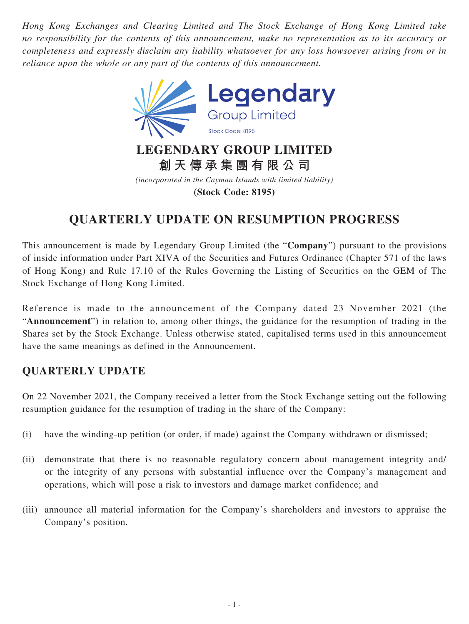*Hong Kong Exchanges and Clearing Limited and The Stock Exchange of Hong Kong Limited take no responsibility for the contents of this announcement, make no representation as to its accuracy or completeness and expressly disclaim any liability whatsoever for any loss howsoever arising from or in reliance upon the whole or any part of the contents of this announcement.*



*(incorporated in the Cayman Islands with limited liability)* **(Stock Code: 8195)**

# **QUARTERLY UPDATE ON RESUMPTION PROGRESS**

This announcement is made by Legendary Group Limited (the "**Company**") pursuant to the provisions of inside information under Part XIVA of the Securities and Futures Ordinance (Chapter 571 of the laws of Hong Kong) and Rule 17.10 of the Rules Governing the Listing of Securities on the GEM of The Stock Exchange of Hong Kong Limited.

Reference is made to the announcement of the Company dated 23 November 2021 (the "**Announcement**") in relation to, among other things, the guidance for the resumption of trading in the Shares set by the Stock Exchange. Unless otherwise stated, capitalised terms used in this announcement have the same meanings as defined in the Announcement.

# **QUARTERLY UPDATE**

On 22 November 2021, the Company received a letter from the Stock Exchange setting out the following resumption guidance for the resumption of trading in the share of the Company:

- (i) have the winding-up petition (or order, if made) against the Company withdrawn or dismissed;
- (ii) demonstrate that there is no reasonable regulatory concern about management integrity and/ or the integrity of any persons with substantial influence over the Company's management and operations, which will pose a risk to investors and damage market confidence; and
- (iii) announce all material information for the Company's shareholders and investors to appraise the Company's position.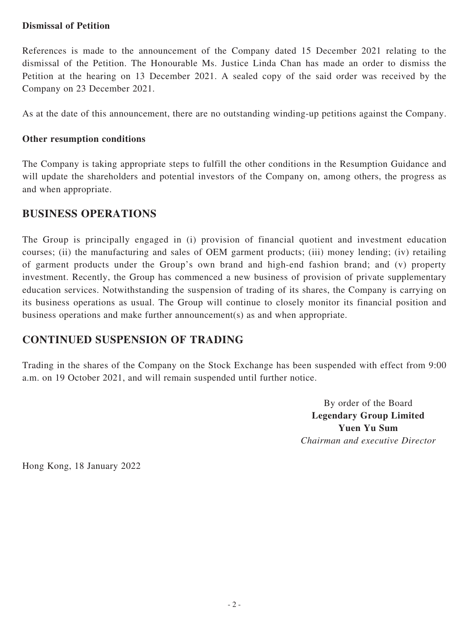#### **Dismissal of Petition**

References is made to the announcement of the Company dated 15 December 2021 relating to the dismissal of the Petition. The Honourable Ms. Justice Linda Chan has made an order to dismiss the Petition at the hearing on 13 December 2021. A sealed copy of the said order was received by the Company on 23 December 2021.

As at the date of this announcement, there are no outstanding winding-up petitions against the Company.

#### **Other resumption conditions**

The Company is taking appropriate steps to fulfill the other conditions in the Resumption Guidance and will update the shareholders and potential investors of the Company on, among others, the progress as and when appropriate.

### **BUSINESS OPERATIONS**

The Group is principally engaged in (i) provision of financial quotient and investment education courses; (ii) the manufacturing and sales of OEM garment products; (iii) money lending; (iv) retailing of garment products under the Group's own brand and high-end fashion brand; and (v) property investment. Recently, the Group has commenced a new business of provision of private supplementary education services. Notwithstanding the suspension of trading of its shares, the Company is carrying on its business operations as usual. The Group will continue to closely monitor its financial position and business operations and make further announcement(s) as and when appropriate.

## **CONTINUED SUSPENSION OF TRADING**

Trading in the shares of the Company on the Stock Exchange has been suspended with effect from 9:00 a.m. on 19 October 2021, and will remain suspended until further notice.

> By order of the Board **Legendary Group Limited Yuen Yu Sum** *Chairman and executive Director*

Hong Kong, 18 January 2022